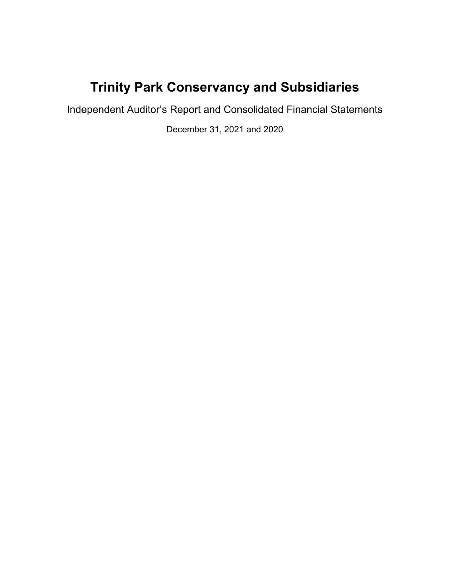Independent Auditor's Report and Consolidated Financial Statements

December 31, 2021 and 2020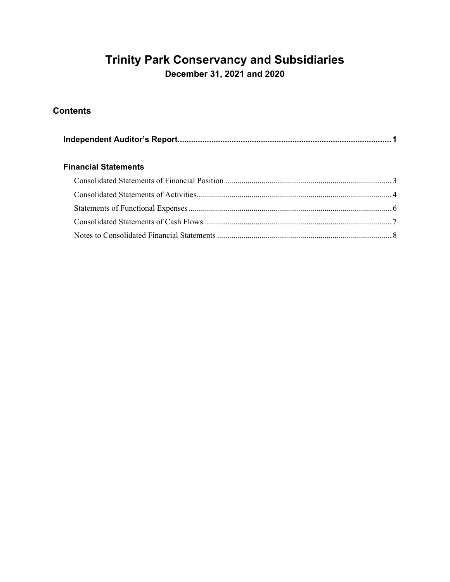# **Trinity Park Conservancy and Subsidiaries December 31, 2021 and 2020**

### **Contents**

| <b>Financial Statements</b> |  |
|-----------------------------|--|
|                             |  |
|                             |  |
|                             |  |
|                             |  |
|                             |  |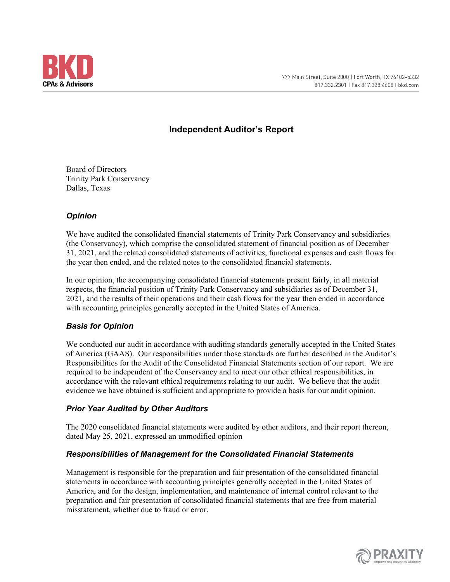

### **Independent Auditor's Report**

Board of Directors Trinity Park Conservancy Dallas, Texas

### *Opinion*

We have audited the consolidated financial statements of Trinity Park Conservancy and subsidiaries (the Conservancy), which comprise the consolidated statement of financial position as of December 31, 2021, and the related consolidated statements of activities, functional expenses and cash flows for the year then ended, and the related notes to the consolidated financial statements.

In our opinion, the accompanying consolidated financial statements present fairly, in all material respects, the financial position of Trinity Park Conservancy and subsidiaries as of December 31, 2021, and the results of their operations and their cash flows for the year then ended in accordance with accounting principles generally accepted in the United States of America.

### *Basis for Opinion*

We conducted our audit in accordance with auditing standards generally accepted in the United States of America (GAAS). Our responsibilities under those standards are further described in the Auditor's Responsibilities for the Audit of the Consolidated Financial Statements section of our report. We are required to be independent of the Conservancy and to meet our other ethical responsibilities, in accordance with the relevant ethical requirements relating to our audit. We believe that the audit evidence we have obtained is sufficient and appropriate to provide a basis for our audit opinion.

### *Prior Year Audited by Other Auditors*

The 2020 consolidated financial statements were audited by other auditors, and their report thereon, dated May 25, 2021, expressed an unmodified opinion

### *Responsibilities of Management for the Consolidated Financial Statements*

Management is responsible for the preparation and fair presentation of the consolidated financial statements in accordance with accounting principles generally accepted in the United States of America, and for the design, implementation, and maintenance of internal control relevant to the preparation and fair presentation of consolidated financial statements that are free from material misstatement, whether due to fraud or error.

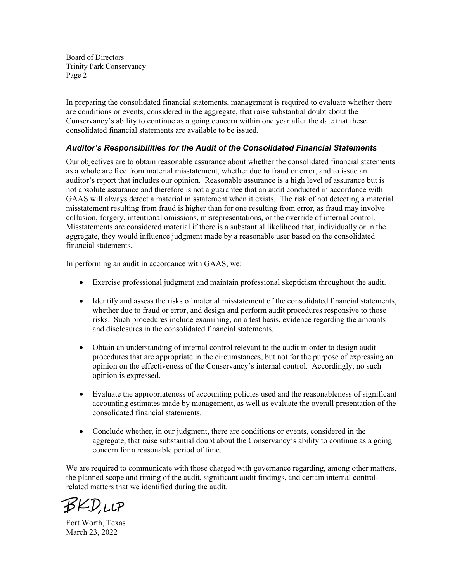Board of Directors Trinity Park Conservancy Page 2

In preparing the consolidated financial statements, management is required to evaluate whether there are conditions or events, considered in the aggregate, that raise substantial doubt about the Conservancy's ability to continue as a going concern within one year after the date that these consolidated financial statements are available to be issued.

### *Auditor's Responsibilities for the Audit of the Consolidated Financial Statements*

Our objectives are to obtain reasonable assurance about whether the consolidated financial statements as a whole are free from material misstatement, whether due to fraud or error, and to issue an auditor's report that includes our opinion. Reasonable assurance is a high level of assurance but is not absolute assurance and therefore is not a guarantee that an audit conducted in accordance with GAAS will always detect a material misstatement when it exists. The risk of not detecting a material misstatement resulting from fraud is higher than for one resulting from error, as fraud may involve collusion, forgery, intentional omissions, misrepresentations, or the override of internal control. Misstatements are considered material if there is a substantial likelihood that, individually or in the aggregate, they would influence judgment made by a reasonable user based on the consolidated financial statements.

In performing an audit in accordance with GAAS, we:

- Exercise professional judgment and maintain professional skepticism throughout the audit.
- Identify and assess the risks of material misstatement of the consolidated financial statements, whether due to fraud or error, and design and perform audit procedures responsive to those risks. Such procedures include examining, on a test basis, evidence regarding the amounts and disclosures in the consolidated financial statements.
- Obtain an understanding of internal control relevant to the audit in order to design audit procedures that are appropriate in the circumstances, but not for the purpose of expressing an opinion on the effectiveness of the Conservancy's internal control. Accordingly, no such opinion is expressed.
- Evaluate the appropriateness of accounting policies used and the reasonableness of significant accounting estimates made by management, as well as evaluate the overall presentation of the consolidated financial statements.
- Conclude whether, in our judgment, there are conditions or events, considered in the aggregate, that raise substantial doubt about the Conservancy's ability to continue as a going concern for a reasonable period of time.

We are required to communicate with those charged with governance regarding, among other matters, the planned scope and timing of the audit, significant audit findings, and certain internal controlrelated matters that we identified during the audit.

BKD,LLP

Fort Worth, Texas March 23, 2022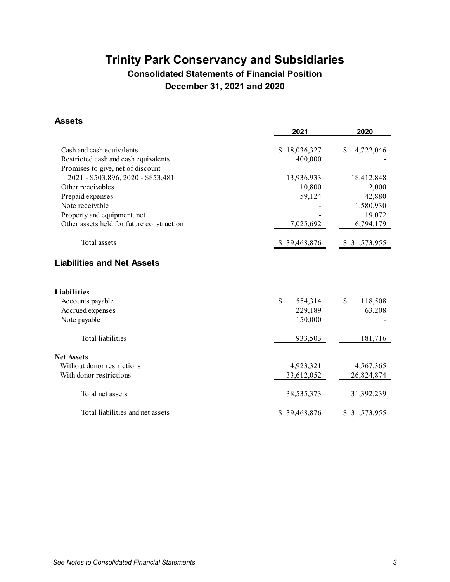### **Consolidated Statements of Financial Position December 31, 2021 and 2020**

### **Assets**

|                                           | 2021          | 2020                    |
|-------------------------------------------|---------------|-------------------------|
|                                           |               |                         |
| Cash and cash equivalents                 | \$18,036,327  | 4,722,046<br>S.         |
| Restricted cash and cash equivalents      | 400,000       |                         |
| Promises to give, net of discount         |               |                         |
| 2021 - \$503,896, 2020 - \$853,481        | 13,936,933    | 18,412,848              |
| Other receivables                         | 10,800        | 2,000                   |
| Prepaid expenses                          | 59,124        | 42,880                  |
| Note receivable                           |               | 1,580,930               |
| Property and equipment, net               |               | 19,072                  |
| Other assets held for future construction | 7,025,692     | 6,794,179               |
| Total assets                              | \$39,468,876  | \$ 31,573,955           |
| Liabilities                               |               |                         |
| Accounts payable                          | \$<br>554,314 | $\mathbb{S}$<br>118,508 |
| Accrued expenses                          | 229,189       | 63,208                  |
| Note payable                              | 150,000       |                         |
| <b>Total liabilities</b>                  | 933,503       | 181,716                 |
| <b>Net Assets</b>                         |               |                         |
| Without donor restrictions                | 4,923,321     | 4,567,365               |
| With donor restrictions                   | 33,612,052    | 26,824,874              |
| Total net assets                          | 38,535,373    | 31,392,239              |
| Total liabilities and net assets          | \$39,468,876  | \$ 31,573,955           |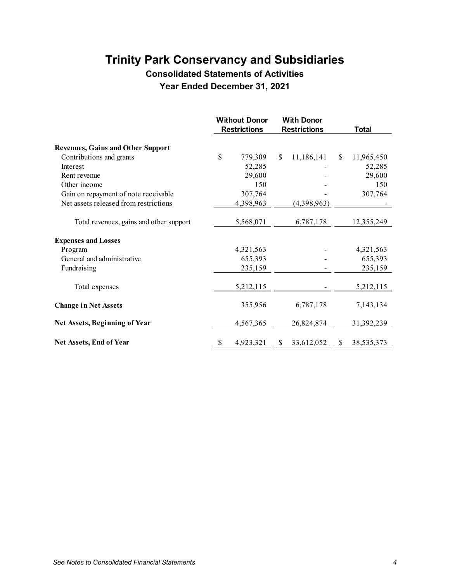### **Consolidated Statements of Activities Year Ended December 31, 2021**

|                                          |    | <b>Without Donor</b><br><b>Restrictions</b> | <b>With Donor</b><br><b>Restrictions</b> |               | <b>Total</b> |
|------------------------------------------|----|---------------------------------------------|------------------------------------------|---------------|--------------|
| <b>Revenues, Gains and Other Support</b> |    |                                             |                                          |               |              |
| Contributions and grants                 | \$ | 779,309                                     | \$<br>11,186,141                         | <sup>\$</sup> | 11,965,450   |
| Interest                                 |    | 52,285                                      |                                          |               | 52,285       |
| Rent revenue                             |    | 29,600                                      |                                          |               | 29,600       |
| Other income                             |    | 150                                         |                                          |               | 150          |
| Gain on repayment of note receivable     |    | 307,764                                     |                                          |               | 307,764      |
| Net assets released from restrictions    |    | 4,398,963                                   | (4,398,963)                              |               |              |
| Total revenues, gains and other support  |    | 5,568,071                                   | 6,787,178                                |               | 12,355,249   |
| <b>Expenses and Losses</b>               |    |                                             |                                          |               |              |
| Program                                  |    | 4,321,563                                   |                                          |               | 4,321,563    |
| General and administrative               |    | 655,393                                     |                                          |               | 655,393      |
| Fundraising                              |    | 235,159                                     |                                          |               | 235,159      |
| Total expenses                           |    | 5,212,115                                   |                                          |               | 5,212,115    |
| <b>Change in Net Assets</b>              |    | 355,956                                     | 6,787,178                                |               | 7,143,134    |
| Net Assets, Beginning of Year            |    | 4,567,365                                   | 26,824,874                               |               | 31,392,239   |
| Net Assets, End of Year                  | S  | 4,923,321                                   | \$<br>33,612,052                         |               | 38, 535, 373 |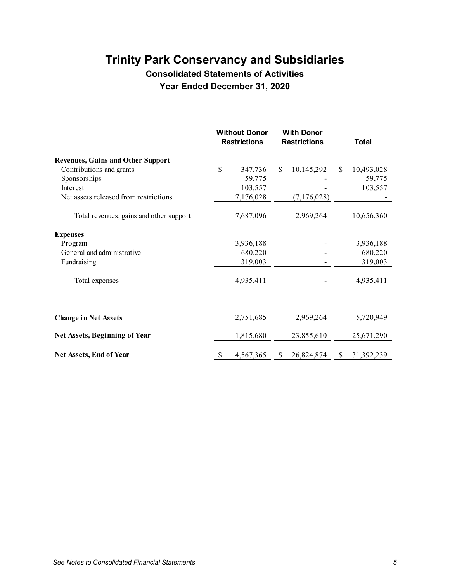### **Consolidated Statements of Activities Year Ended December 31, 2020**

|                                          | <b>Without Donor</b><br><b>Restrictions</b> |               | <b>With Donor</b><br><b>Restrictions</b> |     | <b>Total</b> |
|------------------------------------------|---------------------------------------------|---------------|------------------------------------------|-----|--------------|
| <b>Revenues, Gains and Other Support</b> |                                             |               |                                          |     |              |
| Contributions and grants                 | \$<br>347,736                               | <sup>\$</sup> | 10,145,292                               | \$. | 10,493,028   |
| Sponsorships                             | 59,775                                      |               |                                          |     | 59,775       |
| Interest                                 | 103,557                                     |               |                                          |     | 103,557      |
| Net assets released from restrictions    | 7,176,028                                   |               | (7,176,028)                              |     |              |
| Total revenues, gains and other support  | 7,687,096                                   |               | 2,969,264                                |     | 10,656,360   |
| <b>Expenses</b>                          |                                             |               |                                          |     |              |
| Program                                  | 3,936,188                                   |               |                                          |     | 3,936,188    |
| General and administrative               | 680,220                                     |               |                                          |     | 680,220      |
| Fundraising                              | 319,003                                     |               |                                          |     | 319,003      |
| Total expenses                           | 4,935,411                                   |               |                                          |     | 4,935,411    |
|                                          |                                             |               |                                          |     |              |
| <b>Change in Net Assets</b>              | 2,751,685                                   |               | 2,969,264                                |     | 5,720,949    |
| <b>Net Assets, Beginning of Year</b>     | 1,815,680                                   |               | 23,855,610                               |     | 25,671,290   |
| Net Assets, End of Year                  | \$<br>4,567,365                             | S             | 26,824,874                               |     | 31,392,239   |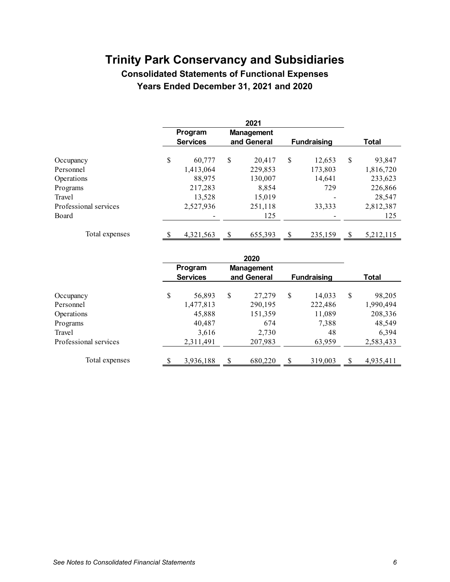### **Consolidated Statements of Functional Expenses Years Ended December 31, 2021 and 2020**

|                       |                 |   | 2021              |                    |               |              |
|-----------------------|-----------------|---|-------------------|--------------------|---------------|--------------|
|                       | Program         |   | <b>Management</b> |                    |               |              |
|                       | <b>Services</b> |   | and General       | <b>Fundraising</b> |               | <b>Total</b> |
| Occupancy             | \$<br>60,777    | S | 20,417            | \$<br>12,653       | <sup>\$</sup> | 93,847       |
| Personnel             | 1,413,064       |   | 229,853           | 173,803            |               | 1,816,720    |
| Operations            | 88,975          |   | 130,007           | 14,641             |               | 233,623      |
| Programs              | 217,283         |   | 8.854             | 729                |               | 226,866      |
| Travel                | 13,528          |   | 15,019            |                    |               | 28,547       |
| Professional services | 2,527,936       |   | 251,118           | 33,333             |               | 2,812,387    |
| Board                 |                 |   | 125               |                    |               | 125          |
| Total expenses        | 4,321,563       | S | 655,393           | \$<br>235,159      | \$            | 5,212,115    |

|                       |                            |           |                                  | 2020    |                    |         |                 |
|-----------------------|----------------------------|-----------|----------------------------------|---------|--------------------|---------|-----------------|
|                       | Program<br><b>Services</b> |           | <b>Management</b><br>and General |         | <b>Fundraising</b> |         | <b>Total</b>    |
|                       |                            |           |                                  |         |                    |         |                 |
| Occupancy             | \$                         | 56,893    | \$                               | 27,279  | \$                 | 14,033  | \$<br>98,205    |
| Personnel             |                            | 1,477,813 |                                  | 290,195 |                    | 222,486 | 1,990,494       |
| Operations            |                            | 45,888    |                                  | 151,359 |                    | 11,089  | 208,336         |
| Programs              |                            | 40,487    |                                  | 674     |                    | 7,388   | 48,549          |
| Travel                |                            | 3,616     |                                  | 2,730   |                    | 48      | 6,394           |
| Professional services |                            | 2,311,491 |                                  | 207,983 |                    | 63,959  | 2,583,433       |
| Total expenses        |                            | 3,936,188 | S                                | 680,220 | S                  | 319,003 | \$<br>4,935,411 |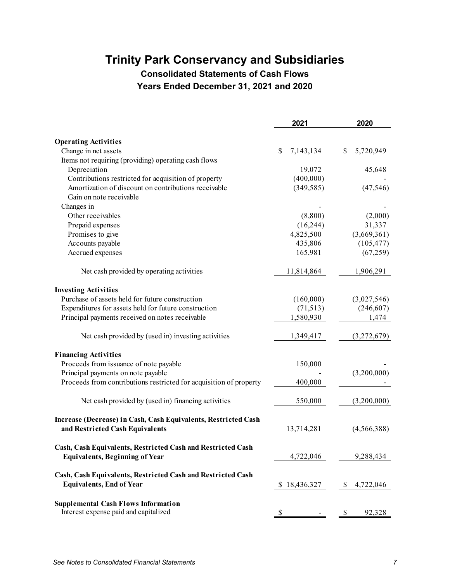### **Consolidated Statements of Cash Flows Years Ended December 31, 2021 and 2020**

|                                                                                                      | 2021            | 2020            |
|------------------------------------------------------------------------------------------------------|-----------------|-----------------|
| <b>Operating Activities</b>                                                                          |                 |                 |
| Change in net assets                                                                                 | \$<br>7,143,134 | 5,720,949<br>\$ |
| Items not requiring (providing) operating cash flows                                                 |                 |                 |
| Depreciation                                                                                         | 19,072          | 45,648          |
| Contributions restricted for acquisition of property                                                 | (400,000)       |                 |
| Amortization of discount on contributions receivable                                                 | (349, 585)      | (47, 546)       |
| Gain on note receivable                                                                              |                 |                 |
| Changes in                                                                                           |                 |                 |
| Other receivables                                                                                    | (8,800)         | (2,000)         |
| Prepaid expenses                                                                                     | (16, 244)       | 31,337          |
| Promises to give                                                                                     | 4,825,500       | (3,669,361)     |
| Accounts payable                                                                                     | 435,806         | (105, 477)      |
| Accrued expenses                                                                                     | 165,981         | (67,259)        |
|                                                                                                      |                 |                 |
| Net cash provided by operating activities                                                            | 11,814,864      | 1,906,291       |
| <b>Investing Activities</b>                                                                          |                 |                 |
| Purchase of assets held for future construction                                                      | (160,000)       | (3,027,546)     |
| Expenditures for assets held for future construction                                                 | (71, 513)       | (246, 607)      |
| Principal payments received on notes receivable                                                      | 1,580,930       | 1,474           |
| Net cash provided by (used in) investing activities                                                  | 1,349,417       | (3,272,679)     |
| <b>Financing Activities</b>                                                                          |                 |                 |
| Proceeds from issuance of note payable                                                               | 150,000         |                 |
| Principal payments on note payable                                                                   |                 | (3,200,000)     |
| Proceeds from contributions restricted for acquisition of property                                   | 400,000         |                 |
| Net cash provided by (used in) financing activities                                                  | 550,000         | (3,200,000)     |
| Increase (Decrease) in Cash, Cash Equivalents, Restricted Cash<br>and Restricted Cash Equivalents    | 13,714,281      | (4,566,388)     |
| Cash, Cash Equivalents, Restricted Cash and Restricted Cash<br><b>Equivalents, Beginning of Year</b> | 4,722,046       | 9,288,434       |
| Cash, Cash Equivalents, Restricted Cash and Restricted Cash<br><b>Equivalents, End of Year</b>       | \$18,436,327    | 4,722,046<br>\$ |
| <b>Supplemental Cash Flows Information</b><br>Interest expense paid and capitalized                  | \$              | 92,328          |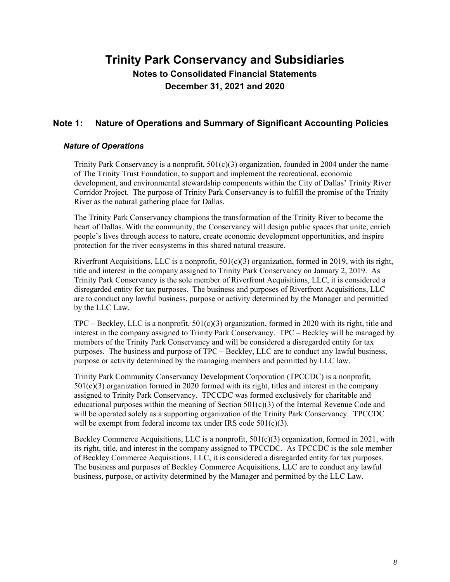### **Notes to Consolidated Financial Statements December 31, 2021 and 2020**

### **Note 1: Nature of Operations and Summary of Significant Accounting Policies**

### *Nature of Operations*

Trinity Park Conservancy is a nonprofit,  $501(c)(3)$  organization, founded in 2004 under the name of The Trinity Trust Foundation, to support and implement the recreational, economic development, and environmental stewardship components within the City of Dallas' Trinity River Corridor Project. The purpose of Trinity Park Conservancy is to fulfill the promise of the Trinity River as the natural gathering place for Dallas.

The Trinity Park Conservancy champions the transformation of the Trinity River to become the heart of Dallas. With the community, the Conservancy will design public spaces that unite, enrich people's lives through access to nature, create economic development opportunities, and inspire protection for the river ecosystems in this shared natural treasure.

Riverfront Acquisitions, LLC is a nonprofit,  $501(c)(3)$  organization, formed in 2019, with its right, title and interest in the company assigned to Trinity Park Conservancy on January 2, 2019. As Trinity Park Conservancy is the sole member of Riverfront Acquisitions, LLC, it is considered a disregarded entity for tax purposes. The business and purposes of Riverfront Acquisitions, LLC are to conduct any lawful business, purpose or activity determined by the Manager and permitted by the LLC Law.

TPC – Beckley, LLC is a nonprofit, 501(c)(3) organization, formed in 2020 with its right, title and interest in the company assigned to Trinity Park Conservancy. TPC – Beckley will be managed by members of the Trinity Park Conservancy and will be considered a disregarded entity for tax purposes. The business and purpose of TPC – Beckley, LLC are to conduct any lawful business, purpose or activity determined by the managing members and permitted by LLC law.

Trinity Park Community Conservancy Development Corporation (TPCCDC) is a nonprofit, 501(c)(3) organization formed in 2020 formed with its right, titles and interest in the company assigned to Trinity Park Conservancy. TPCCDC was formed exclusively for charitable and educational purposes within the meaning of Section  $501(c)(3)$  of the Internal Revenue Code and will be operated solely as a supporting organization of the Trinity Park Conservancy. TPCCDC will be exempt from federal income tax under IRS code  $501(c)(3)$ .

Beckley Commerce Acquisitions, LLC is a nonprofit, 501(c)(3) organization, formed in 2021, with its right, title, and interest in the company assigned to TPCCDC. As TPCCDC is the sole member of Beckley Commerce Acquisitions, LLC, it is considered a disregarded entity for tax purposes. The business and purposes of Beckley Commerce Acquisitions, LLC are to conduct any lawful business, purpose, or activity determined by the Manager and permitted by the LLC Law.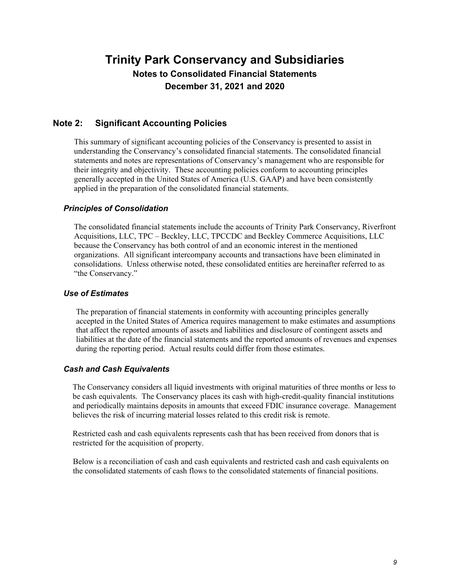### **Note 2: Significant Accounting Policies**

This summary of significant accounting policies of the Conservancy is presented to assist in understanding the Conservancy's consolidated financial statements. The consolidated financial statements and notes are representations of Conservancy's management who are responsible for their integrity and objectivity. These accounting policies conform to accounting principles generally accepted in the United States of America (U.S. GAAP) and have been consistently applied in the preparation of the consolidated financial statements.

### *Principles of Consolidation*

The consolidated financial statements include the accounts of Trinity Park Conservancy, Riverfront Acquisitions, LLC, TPC – Beckley, LLC, TPCCDC and Beckley Commerce Acquisitions, LLC because the Conservancy has both control of and an economic interest in the mentioned organizations. All significant intercompany accounts and transactions have been eliminated in consolidations. Unless otherwise noted, these consolidated entities are hereinafter referred to as "the Conservancy."

### *Use of Estimates*

The preparation of financial statements in conformity with accounting principles generally accepted in the United States of America requires management to make estimates and assumptions that affect the reported amounts of assets and liabilities and disclosure of contingent assets and liabilities at the date of the financial statements and the reported amounts of revenues and expenses during the reporting period. Actual results could differ from those estimates.

### *Cash and Cash Equivalents*

The Conservancy considers all liquid investments with original maturities of three months or less to be cash equivalents. The Conservancy places its cash with high-credit-quality financial institutions and periodically maintains deposits in amounts that exceed FDIC insurance coverage. Management believes the risk of incurring material losses related to this credit risk is remote.

Restricted cash and cash equivalents represents cash that has been received from donors that is restricted for the acquisition of property.

Below is a reconciliation of cash and cash equivalents and restricted cash and cash equivalents on the consolidated statements of cash flows to the consolidated statements of financial positions.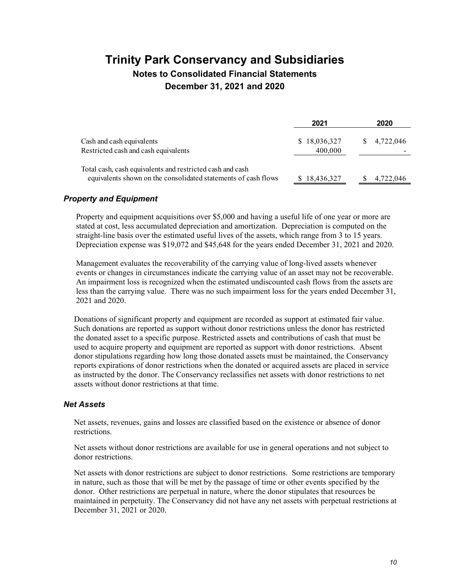# **Notes to Consolidated Financial Statements**

**December 31, 2021 and 2020** 

|                                                                                                                             | 2021                    | 2020      |
|-----------------------------------------------------------------------------------------------------------------------------|-------------------------|-----------|
| Cash and cash equivalents<br>Restricted cash and cash equivalents                                                           | \$18,036,327<br>400,000 | 4,722,046 |
| Total cash, cash equivalents and restricted cash and cash<br>equivalents shown on the consolidated statements of cash flows | \$18,436,327            | 4.722.046 |

### *Property and Equipment*

Property and equipment acquisitions over \$5,000 and having a useful life of one year or more are stated at cost, less accumulated depreciation and amortization. Depreciation is computed on the straight-line basis over the estimated useful lives of the assets, which range from 3 to 15 years. Depreciation expense was \$19,072 and \$45,648 for the years ended December 31, 2021 and 2020.

Management evaluates the recoverability of the carrying value of long-lived assets whenever events or changes in circumstances indicate the carrying value of an asset may not be recoverable. An impairment loss is recognized when the estimated undiscounted cash flows from the assets are less than the carrying value. There was no such impairment loss for the years ended December 31, 2021 and 2020.

Donations of significant property and equipment are recorded as support at estimated fair value. Such donations are reported as support without donor restrictions unless the donor has restricted the donated asset to a specific purpose. Restricted assets and contributions of cash that must be used to acquire property and equipment are reported as support with donor restrictions. Absent donor stipulations regarding how long those donated assets must be maintained, the Conservancy reports expirations of donor restrictions when the donated or acquired assets are placed in service as instructed by the donor. The Conservancy reclassifies net assets with donor restrictions to net assets without donor restrictions at that time.

### *Net Assets*

Net assets, revenues, gains and losses are classified based on the existence or absence of donor restrictions.

Net assets without donor restrictions are available for use in general operations and not subject to donor restrictions.

Net assets with donor restrictions are subject to donor restrictions. Some restrictions are temporary in nature, such as those that will be met by the passage of time or other events specified by the donor. Other restrictions are perpetual in nature, where the donor stipulates that resources be maintained in perpetuity. The Conservancy did not have any net assets with perpetual restrictions at December 31, 2021 or 2020.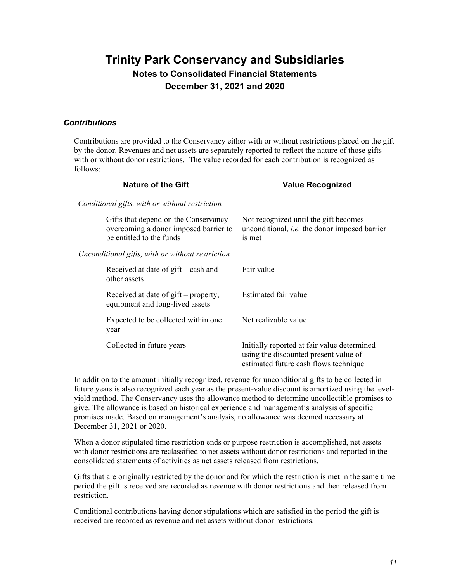### *Contributions*

Contributions are provided to the Conservancy either with or without restrictions placed on the gift by the donor. Revenues and net assets are separately reported to reflect the nature of those gifts – with or without donor restrictions. The value recorded for each contribution is recognized as follows:

| <b>Nature of the Gift</b>                                                                                 | <b>Value Recognized</b>                                                                                                       |
|-----------------------------------------------------------------------------------------------------------|-------------------------------------------------------------------------------------------------------------------------------|
| Conditional gifts, with or without restriction                                                            |                                                                                                                               |
| Gifts that depend on the Conservancy<br>overcoming a donor imposed barrier to<br>be entitled to the funds | Not recognized until the gift becomes<br>unconditional, i.e. the donor imposed barrier<br>is met                              |
| Unconditional gifts, with or without restriction                                                          |                                                                                                                               |
| Received at date of $g$ ift – cash and<br>other assets                                                    | Fair value                                                                                                                    |
| Received at date of $g$ ift – property,<br>equipment and long-lived assets                                | Estimated fair value                                                                                                          |
| Expected to be collected within one<br>year                                                               | Net realizable value                                                                                                          |
| Collected in future years                                                                                 | Initially reported at fair value determined<br>using the discounted present value of<br>estimated future cash flows technique |

In addition to the amount initially recognized, revenue for unconditional gifts to be collected in future years is also recognized each year as the present-value discount is amortized using the levelyield method. The Conservancy uses the allowance method to determine uncollectible promises to give. The allowance is based on historical experience and management's analysis of specific promises made. Based on management's analysis, no allowance was deemed necessary at December 31, 2021 or 2020.

When a donor stipulated time restriction ends or purpose restriction is accomplished, net assets with donor restrictions are reclassified to net assets without donor restrictions and reported in the consolidated statements of activities as net assets released from restrictions.

Gifts that are originally restricted by the donor and for which the restriction is met in the same time period the gift is received are recorded as revenue with donor restrictions and then released from restriction.

Conditional contributions having donor stipulations which are satisfied in the period the gift is received are recorded as revenue and net assets without donor restrictions.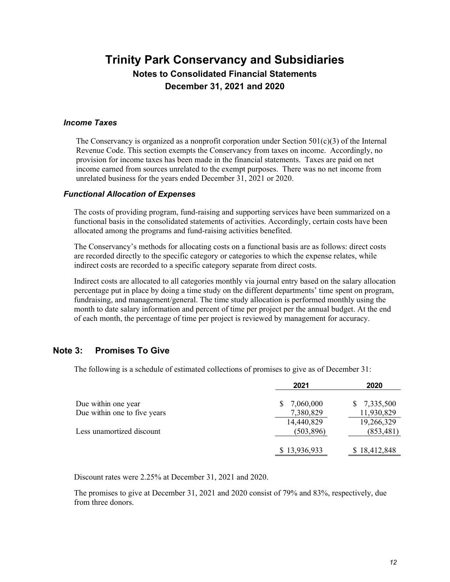#### *Income Taxes*

The Conservancy is organized as a nonprofit corporation under Section  $501(c)(3)$  of the Internal Revenue Code. This section exempts the Conservancy from taxes on income. Accordingly, no provision for income taxes has been made in the financial statements. Taxes are paid on net income earned from sources unrelated to the exempt purposes. There was no net income from unrelated business for the years ended December 31, 2021 or 2020.

### *Functional Allocation of Expenses*

The costs of providing program, fund-raising and supporting services have been summarized on a functional basis in the consolidated statements of activities. Accordingly, certain costs have been allocated among the programs and fund-raising activities benefited.

The Conservancy's methods for allocating costs on a functional basis are as follows: direct costs are recorded directly to the specific category or categories to which the expense relates, while indirect costs are recorded to a specific category separate from direct costs.

Indirect costs are allocated to all categories monthly via journal entry based on the salary allocation percentage put in place by doing a time study on the different departments' time spent on program, fundraising, and management/general. The time study allocation is performed monthly using the month to date salary information and percent of time per project per the annual budget. At the end of each month, the percentage of time per project is reviewed by management for accuracy.

### **Note 3: Promises To Give**

The following is a schedule of estimated collections of promises to give as of December 31:

|                              | 2021         | 2020         |
|------------------------------|--------------|--------------|
| Due within one year          | 7,060,000    | 7,335,500    |
| Due within one to five years | 7,380,829    | 11,930,829   |
|                              | 14,440,829   | 19,266,329   |
| Less unamortized discount    | (503, 896)   | (853, 481)   |
|                              | \$13,936,933 | \$18,412,848 |

Discount rates were 2.25% at December 31, 2021 and 2020.

The promises to give at December 31, 2021 and 2020 consist of 79% and 83%, respectively, due from three donors.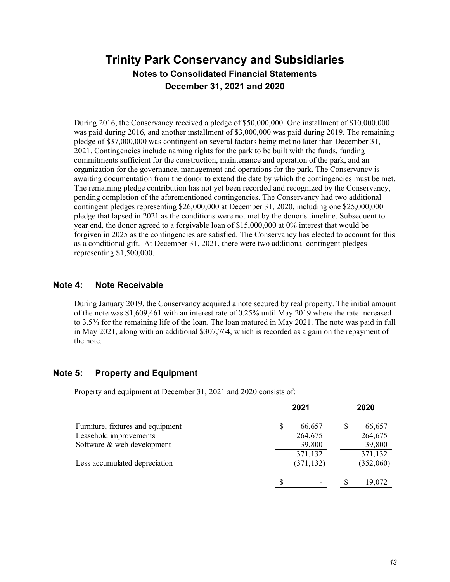During 2016, the Conservancy received a pledge of \$50,000,000. One installment of \$10,000,000 was paid during 2016, and another installment of \$3,000,000 was paid during 2019. The remaining pledge of \$37,000,000 was contingent on several factors being met no later than December 31, 2021. Contingencies include naming rights for the park to be built with the funds, funding commitments sufficient for the construction, maintenance and operation of the park, and an organization for the governance, management and operations for the park. The Conservancy is awaiting documentation from the donor to extend the date by which the contingencies must be met. The remaining pledge contribution has not yet been recorded and recognized by the Conservancy, pending completion of the aforementioned contingencies. The Conservancy had two additional contingent pledges representing \$26,000,000 at December 31, 2020, including one \$25,000,000 pledge that lapsed in 2021 as the conditions were not met by the donor's timeline. Subsequent to year end, the donor agreed to a forgivable loan of \$15,000,000 at 0% interest that would be forgiven in 2025 as the contingencies are satisfied. The Conservancy has elected to account for this as a conditional gift. At December 31, 2021, there were two additional contingent pledges representing \$1,500,000.

### **Note 4: Note Receivable**

During January 2019, the Conservancy acquired a note secured by real property. The initial amount of the note was \$1,609,461 with an interest rate of 0.25% until May 2019 where the rate increased to 3.5% for the remaining life of the loan. The loan matured in May 2021. The note was paid in full in May 2021, along with an additional \$307,764, which is recorded as a gain on the repayment of the note.

### **Note 5: Property and Equipment**

Property and equipment at December 31, 2021 and 2020 consists of:

|                                   |   | 2021       | 2020         |
|-----------------------------------|---|------------|--------------|
| Furniture, fixtures and equipment | S | 66,657     | \$<br>66,657 |
| Leasehold improvements            |   | 264,675    | 264,675      |
| Software & web development        |   | 39,800     | 39,800       |
|                                   |   | 371,132    | 371,132      |
| Less accumulated depreciation     |   | (371, 132) | (352,060)    |
|                                   |   |            | 19,072       |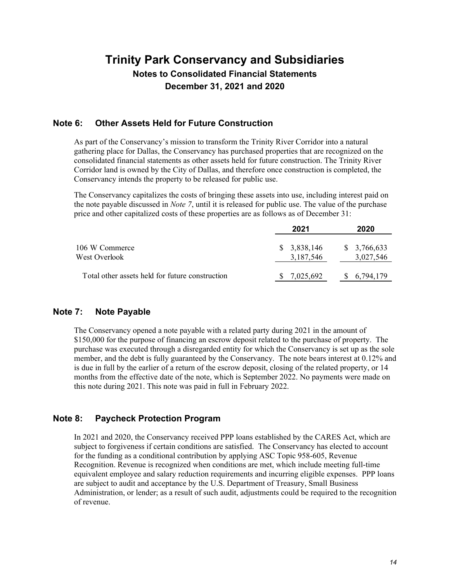### **Note 6: Other Assets Held for Future Construction**

As part of the Conservancy's mission to transform the Trinity River Corridor into a natural gathering place for Dallas, the Conservancy has purchased properties that are recognized on the consolidated financial statements as other assets held for future construction. The Trinity River Corridor land is owned by the City of Dallas, and therefore once construction is completed, the Conservancy intends the property to be released for public use.

The Conservancy capitalizes the costs of bringing these assets into use, including interest paid on the note payable discussed in *Note 7*, until it is released for public use. The value of the purchase price and other capitalized costs of these properties are as follows as of December 31:

|                                                 | 2021                     | 2020                     |
|-------------------------------------------------|--------------------------|--------------------------|
| 106 W Commerce<br>West Overlook                 | \$3,838,146<br>3,187,546 | \$3,766,633<br>3,027,546 |
| Total other assets held for future construction | 7,025,692                | 6,794,179                |

### **Note 7: Note Payable**

The Conservancy opened a note payable with a related party during 2021 in the amount of \$150,000 for the purpose of financing an escrow deposit related to the purchase of property. The purchase was executed through a disregarded entity for which the Conservancy is set up as the sole member, and the debt is fully guaranteed by the Conservancy. The note bears interest at 0.12% and is due in full by the earlier of a return of the escrow deposit, closing of the related property, or 14 months from the effective date of the note, which is September 2022. No payments were made on this note during 2021. This note was paid in full in February 2022.

### **Note 8: Paycheck Protection Program**

In 2021 and 2020, the Conservancy received PPP loans established by the CARES Act, which are subject to forgiveness if certain conditions are satisfied. The Conservancy has elected to account for the funding as a conditional contribution by applying ASC Topic 958-605, Revenue Recognition. Revenue is recognized when conditions are met, which include meeting full-time equivalent employee and salary reduction requirements and incurring eligible expenses. PPP loans are subject to audit and acceptance by the U.S. Department of Treasury, Small Business Administration, or lender; as a result of such audit, adjustments could be required to the recognition of revenue.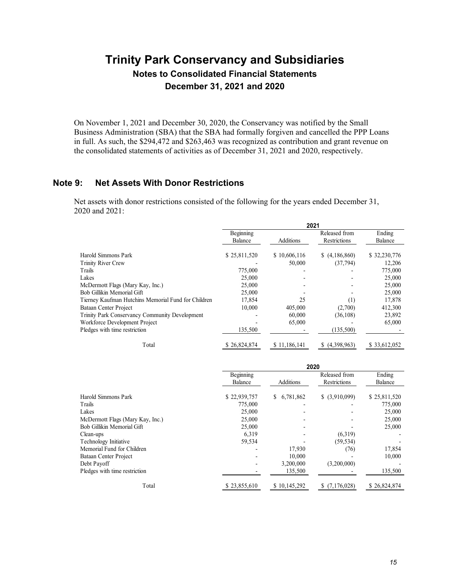On November 1, 2021 and December 30, 2020, the Conservancy was notified by the Small Business Administration (SBA) that the SBA had formally forgiven and cancelled the PPP Loans in full. As such, the \$294,472 and \$263,463 was recognized as contribution and grant revenue on the consolidated statements of activities as of December 31, 2021 and 2020, respectively.

### **Note 9: Net Assets With Donor Restrictions**

Net assets with donor restrictions consisted of the following for the years ended December 31, 2020 and 2021:

|                                                       | 2021         |              |                  |              |
|-------------------------------------------------------|--------------|--------------|------------------|--------------|
|                                                       | Beginning    |              | Released from    | Ending       |
|                                                       | Balance      | Additions    | Restrictions     | Balance      |
|                                                       |              |              |                  |              |
| Harold Simmons Park                                   | \$25,811,520 | \$10,606,116 | \$(4,186,860)    | \$32,230,776 |
| <b>Trinity River Crew</b>                             |              | 50,000       | (37,794)         | 12,206       |
| Trails                                                | 775,000      |              |                  | 775,000      |
| Lakes                                                 | 25,000       |              |                  | 25,000       |
| McDermott Flags (Mary Kay, Inc.)                      | 25,000       |              |                  | 25,000       |
| Bob Gillikin Memorial Gift                            | 25,000       |              |                  | 25,000       |
| Tierney Kaufman Hutchins Memorial Fund for Children   | 17,854       | 25           | (1)              | 17,878       |
| Bataan Center Project                                 | 10,000       | 405,000      | (2,700)          | 412,300      |
| <b>Trinity Park Conservancy Community Development</b> |              | 60,000       | (36, 108)        | 23,892       |
| Workforce Development Project                         |              | 65,000       |                  | 65,000       |
| Pledges with time restriction                         | 135,500      |              | (135,500)        |              |
| Total                                                 | \$26,824,874 | \$11,186,141 | (4,398,963)<br>S | \$33,612,052 |

|                                  | 2020         |                  |                   |              |
|----------------------------------|--------------|------------------|-------------------|--------------|
|                                  | Beginning    |                  | Released from     | Ending       |
|                                  | Balance      | <b>Additions</b> | Restrictions      | Balance      |
|                                  |              |                  |                   |              |
| Harold Simmons Park              | \$22,939,757 | 6,781,862<br>S.  | $$$ (3,910,099)   | \$25,811,520 |
| Trails                           | 775,000      |                  |                   | 775,000      |
| Lakes                            | 25,000       |                  |                   | 25,000       |
| McDermott Flags (Mary Kay, Inc.) | 25,000       |                  |                   | 25,000       |
| Bob Gillikin Memorial Gift       | 25,000       |                  |                   | 25,000       |
| Clean-ups                        | 6,319        |                  | (6,319)           |              |
| Technology Initiative            | 59,534       |                  | (59, 534)         |              |
| Memorial Fund for Children       |              | 17,930           | (76)              | 17,854       |
| Bataan Center Project            |              | 10,000           |                   | 10,000       |
| Debt Payoff                      |              | 3,200,000        | (3,200,000)       |              |
| Pledges with time restriction    |              | 135,500          |                   | 135,500      |
| Total                            | \$23,855,610 | \$10,145,292     | (7,176,028)<br>S. | \$26,824,874 |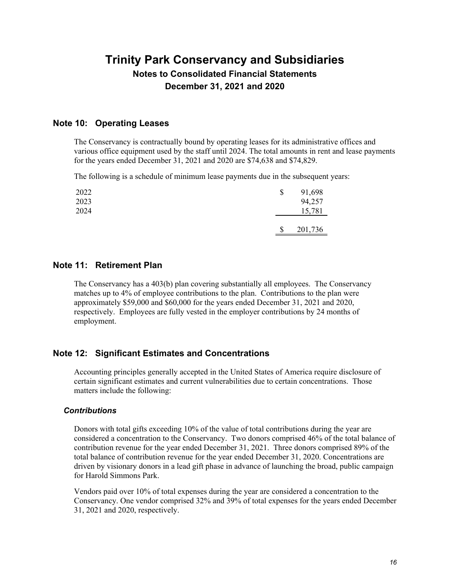### **Note 10: Operating Leases**

The Conservancy is contractually bound by operating leases for its administrative offices and various office equipment used by the staff until 2024. The total amounts in rent and lease payments for the years ended December 31, 2021 and 2020 are \$74,638 and \$74,829.

The following is a schedule of minimum lease payments due in the subsequent years:

| 2022 | \$<br>91,698 |
|------|--------------|
| 2023 | 94,257       |
| 2024 | 15,781       |
|      |              |
|      | 201,736      |

#### **Note 11: Retirement Plan**

The Conservancy has a 403(b) plan covering substantially all employees. The Conservancy matches up to 4% of employee contributions to the plan. Contributions to the plan were approximately \$59,000 and \$60,000 for the years ended December 31, 2021 and 2020, respectively. Employees are fully vested in the employer contributions by 24 months of employment.

### **Note 12: Significant Estimates and Concentrations**

Accounting principles generally accepted in the United States of America require disclosure of certain significant estimates and current vulnerabilities due to certain concentrations. Those matters include the following:

### *Contributions*

Donors with total gifts exceeding 10% of the value of total contributions during the year are considered a concentration to the Conservancy. Two donors comprised 46% of the total balance of contribution revenue for the year ended December 31, 2021. Three donors comprised 89% of the total balance of contribution revenue for the year ended December 31, 2020. Concentrations are driven by visionary donors in a lead gift phase in advance of launching the broad, public campaign for Harold Simmons Park.

Vendors paid over 10% of total expenses during the year are considered a concentration to the Conservancy. One vendor comprised 32% and 39% of total expenses for the years ended December 31, 2021 and 2020, respectively.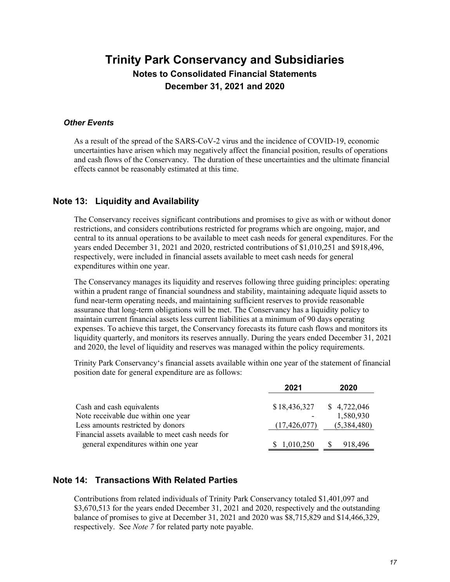#### *Other Events*

As a result of the spread of the SARS-CoV-2 virus and the incidence of COVID-19, economic uncertainties have arisen which may negatively affect the financial position, results of operations and cash flows of the Conservancy. The duration of these uncertainties and the ultimate financial effects cannot be reasonably estimated at this time.

### **Note 13: Liquidity and Availability**

The Conservancy receives significant contributions and promises to give as with or without donor restrictions, and considers contributions restricted for programs which are ongoing, major, and central to its annual operations to be available to meet cash needs for general expenditures. For the years ended December 31, 2021 and 2020, restricted contributions of \$1,010,251 and \$918,496, respectively, were included in financial assets available to meet cash needs for general expenditures within one year.

The Conservancy manages its liquidity and reserves following three guiding principles: operating within a prudent range of financial soundness and stability, maintaining adequate liquid assets to fund near-term operating needs, and maintaining sufficient reserves to provide reasonable assurance that long-term obligations will be met. The Conservancy has a liquidity policy to maintain current financial assets less current liabilities at a minimum of 90 days operating expenses. To achieve this target, the Conservancy forecasts its future cash flows and monitors its liquidity quarterly, and monitors its reserves annually. During the years ended December 31, 2021 and 2020, the level of liquidity and reserves was managed within the policy requirements.

Trinity Park Conservancy's financial assets available within one year of the statement of financial position date for general expenditure are as follows:

|                                                   | 2021                       | 2020        |
|---------------------------------------------------|----------------------------|-------------|
| Cash and cash equivalents                         | $$18,436,327$ $$4,722,046$ |             |
| Note receivable due within one year               |                            | 1,580,930   |
| Less amounts restricted by donors                 | (17, 426, 077)             | (5,384,480) |
| Financial assets available to meet cash needs for |                            |             |
| general expenditures within one year              | \$1,010,250                | 918,496     |

### **Note 14: Transactions With Related Parties**

Contributions from related individuals of Trinity Park Conservancy totaled \$1,401,097 and \$3,670,513 for the years ended December 31, 2021 and 2020, respectively and the outstanding balance of promises to give at December 31, 2021 and 2020 was \$8,715,829 and \$14,466,329, respectively. See *Note 7* for related party note payable.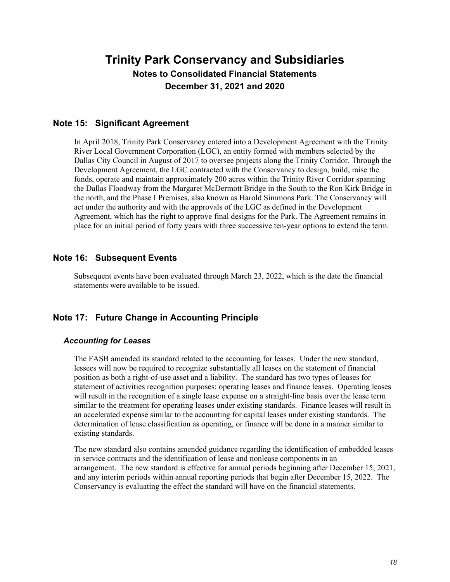#### **Note 15: Significant Agreement**

In April 2018, Trinity Park Conservancy entered into a Development Agreement with the Trinity River Local Government Corporation (LGC), an entity formed with members selected by the Dallas City Council in August of 2017 to oversee projects along the Trinity Corridor. Through the Development Agreement, the LGC contracted with the Conservancy to design, build, raise the funds, operate and maintain approximately 200 acres within the Trinity River Corridor spanning the Dallas Floodway from the Margaret McDermott Bridge in the South to the Ron Kirk Bridge in the north, and the Phase I Premises, also known as Harold Simmons Park. The Conservancy will act under the authority and with the approvals of the LGC as defined in the Development Agreement, which has the right to approve final designs for the Park. The Agreement remains in place for an initial period of forty years with three successive ten-year options to extend the term.

#### **Note 16: Subsequent Events**

Subsequent events have been evaluated through March 23, 2022, which is the date the financial statements were available to be issued.

### **Note 17: Future Change in Accounting Principle**

#### *Accounting for Leases*

The FASB amended its standard related to the accounting for leases. Under the new standard, lessees will now be required to recognize substantially all leases on the statement of financial position as both a right-of-use asset and a liability. The standard has two types of leases for statement of activities recognition purposes: operating leases and finance leases. Operating leases will result in the recognition of a single lease expense on a straight-line basis over the lease term similar to the treatment for operating leases under existing standards. Finance leases will result in an accelerated expense similar to the accounting for capital leases under existing standards. The determination of lease classification as operating, or finance will be done in a manner similar to existing standards.

The new standard also contains amended guidance regarding the identification of embedded leases in service contracts and the identification of lease and nonlease components in an arrangement. The new standard is effective for annual periods beginning after December 15, 2021, and any interim periods within annual reporting periods that begin after December 15, 2022. The Conservancy is evaluating the effect the standard will have on the financial statements.